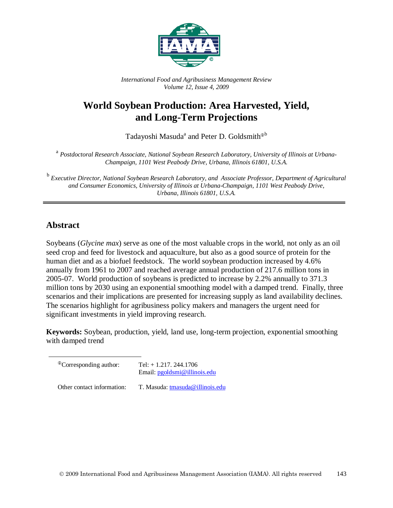

*International Food and Agribusiness Management Review Volume 12, Issue 4, 2009*

# **World Soybean Production: Area Harvested, Yield, and Long-Term Projections**

Tadayoshi Masuda<sup>a</sup> and Peter D. Goldsmith<sup> $\Phi$ b</sup>

<sup>a</sup> *Postdoctoral Research Associate, National Soybean Research Laboratory, University of Illinois at Urbana-Champaign, 1101 West Peabody Drive, Urbana, Illinois 61801, U.S.A.*

<sup>b</sup> *Executive Director, National Soybean Research Laboratory, and Associate Professor, Department of Agricultural and Consumer Economics, University of Illinois at Urbana-Champaign, 1101 West Peabody Drive, Urbana, Illinois 61801, U.S.A.*

## **Abstract**

Soybeans (*Glycine max*) serve as one of the most valuable crops in the world, not only as an oil seed crop and feed for livestock and aquaculture, but also as a good source of protein for the human diet and as a biofuel feedstock. The world soybean production increased by 4.6% annually from 1961 to 2007 and reached average annual production of 217.6 million tons in 2005-07. World production of soybeans is predicted to increase by 2.2% annually to 371.3 million tons by 2030 using an exponential smoothing model with a damped trend. Finally, three scenarios and their implications are presented for increasing supply as land availability declines. The scenarios highlight for agribusiness policy makers and managers the urgent need for significant investments in yield improving research.

**Keywords:** Soybean, production, yield, land use, long-term projection, exponential smoothing with damped trend

| <sup>The</sup> Corresponding author: | Tel: $+ 1.217.244.1706$<br>Email: pgoldsmi@illinois.edu |  |  |  |
|--------------------------------------|---------------------------------------------------------|--|--|--|
| Other contact information:           | T. Masuda: tmasuda@illinois.edu                         |  |  |  |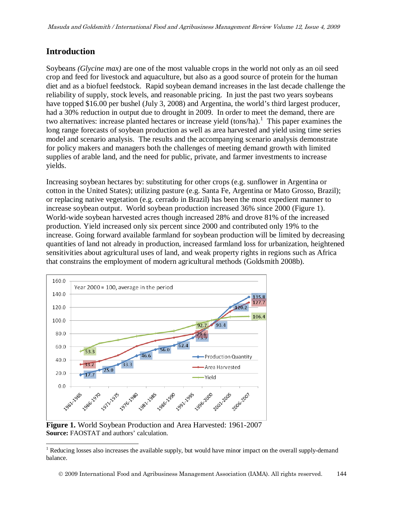### **Introduction**

Soybeans *(Glycine max)* are one of the most valuable crops in the world not only as an oil seed crop and feed for livestock and aquaculture, but also as a good source of protein for the human diet and as a biofuel feedstock. Rapid soybean demand increases in the last decade challenge the reliability of supply, stock levels, and reasonable pricing. In just the past two years soybeans have topped \$16.00 per bushel (July 3, 2008) and Argentina, the world's third largest producer, had a 30% reduction in output due to drought in 2009. In order to meet the demand, there are two alternatives: increase planted hectares or increase yield (tons/ha).<sup>[1](#page-1-0)</sup> This paper examines the long range forecasts of soybean production as well as area harvested and yield using time series model and scenario analysis. The results and the accompanying scenario analysis demonstrate for policy makers and managers both the challenges of meeting demand growth with limited supplies of arable land, and the need for public, private, and farmer investments to increase yields.

Increasing soybean hectares by: substituting for other crops (e.g. sunflower in Argentina or cotton in the United States); utilizing pasture (e.g. Santa Fe, Argentina or Mato Grosso, Brazil); or replacing native vegetation (e.g. cerrado in Brazil) has been the most expedient manner to increase soybean output. World soybean production increased 36% since 2000 (Figure 1). World-wide soybean harvested acres though increased 28% and drove 81% of the increased production. Yield increased only six percent since 2000 and contributed only 19% to the increase. Going forward available farmland for soybean production will be limited by decreasing quantities of land not already in production, increased farmland loss for urbanization, heightened sensitivities about agricultural uses of land, and weak property rights in regions such as Africa that constrains the employment of modern agricultural methods (Goldsmith 2008b).



**Source:** FAOSTAT and authors' calculation.

<span id="page-1-0"></span><sup>&</sup>lt;sup>1</sup> Reducing losses also increases the available supply, but would have minor impact on the overall supply-demand balance.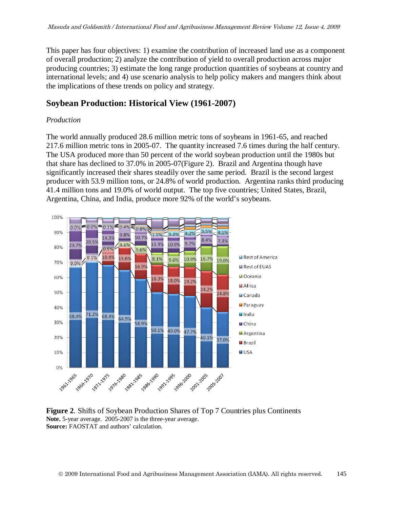This paper has four objectives: 1) examine the contribution of increased land use as a component of overall production; 2) analyze the contribution of yield to overall production across major producing countries; 3) estimate the long range production quantities of soybeans at country and international levels; and 4) use scenario analysis to help policy makers and mangers think about the implications of these trends on policy and strategy.

### **Soybean Production: Historical View (1961-2007)**

#### *Production*

The world annually produced 28.6 million metric tons of soybeans in 1961-65, and reached 217.6 million metric tons in 2005-07. The quantity increased 7.6 times during the half century. The USA produced more than 50 percent of the world soybean production until the 1980s but that share has declined to 37.0% in 2005-07(Figure 2). Brazil and Argentina though have significantly increased their shares steadily over the same period. Brazil is the second largest producer with 53.9 million tons, or 24.8% of world production. Argentina ranks third producing 41.4 million tons and 19.0% of world output. The top five countries; United States, Brazil, Argentina, China, and India, produce more 92% of the world's soybeans.



#### **Figure 2**. Shifts of Soybean Production Shares of Top 7 Countries plus Continents **Note.** 5-year average. 2005-2007 is the three-year average. **Source:** FAOSTAT and authors' calculation.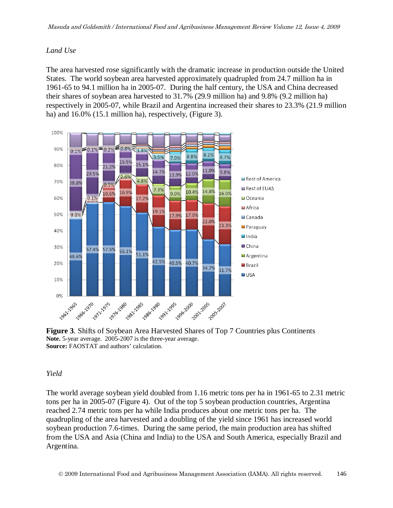#### *Land Use*

The area harvested rose significantly with the dramatic increase in production outside the United States. The world soybean area harvested approximately quadrupled from 24.7 million ha in 1961-65 to 94.1 million ha in 2005-07. During the half century, the USA and China decreased their shares of soybean area harvested to 31.7% (29.9 million ha) and 9.8% (9.2 million ha) respectively in 2005-07, while Brazil and Argentina increased their shares to 23.3% (21.9 million ha) and 16.0% (15.1 million ha), respectively, (Figure 3).



**Figure 3**. Shifts of Soybean Area Harvested Shares of Top 7 Countries plus Continents **Note.** 5-year average. 2005-2007 is the three-year average. **Source:** FAOSTAT and authors' calculation.

#### *Yield*

The world average soybean yield doubled from 1.16 metric tons per ha in 1961-65 to 2.31 metric tons per ha in 2005-07 (Figure 4). Out of the top 5 soybean production countries, Argentina reached 2.74 metric tons per ha while India produces about one metric tons per ha. The quadrupling of the area harvested and a doubling of the yield since 1961 has increased world soybean production 7.6-times. During the same period, the main production area has shifted from the USA and Asia (China and India) to the USA and South America, especially Brazil and Argentina.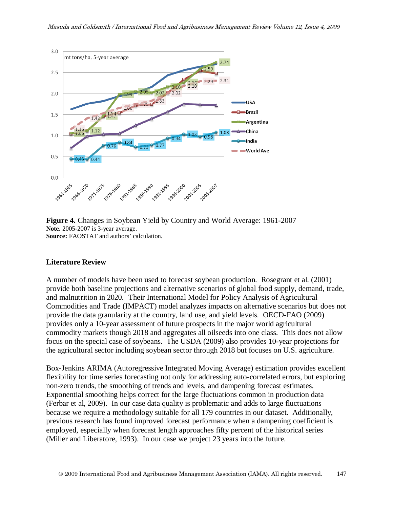

**Figure 4.** Changes in Soybean Yield by Country and World Average: 1961-2007 **Note.** 2005-2007 is 3-year average. **Source:** FAOSTAT and authors' calculation.

#### **Literature Review**

A number of models have been used to forecast soybean production. Rosegrant et al. (2001) provide both baseline projections and alternative scenarios of global food supply, demand, trade, and malnutrition in 2020. Their International Model for Policy Analysis of Agricultural Commodities and Trade (IMPACT) model analyzes impacts on alternative scenarios but does not provide the data granularity at the country, land use, and yield levels. OECD-FAO (2009) provides only a 10-year assessment of future prospects in the major world agricultural commodity markets though 2018 and aggregates all oilseeds into one class. This does not allow focus on the special case of soybeans. The USDA (2009) also provides 10-year projections for the agricultural sector including soybean sector through 2018 but focuses on U.S. agriculture.

Box-Jenkins ARIMA (Autoregressive Integrated Moving Average) estimation provides excellent flexibility for time series forecasting not only for addressing auto-correlated errors, but exploring non-zero trends, the smoothing of trends and levels, and dampening forecast estimates. Exponential smoothing helps correct for the large fluctuations common in production data (Ferbar et al, 2009). In our case data quality is problematic and adds to large fluctuations because we require a methodology suitable for all 179 countries in our dataset. Additionally, previous research has found improved forecast performance when a dampening coefficient is employed, especially when forecast length approaches fifty percent of the historical series (Miller and Liberatore, 1993). In our case we project 23 years into the future.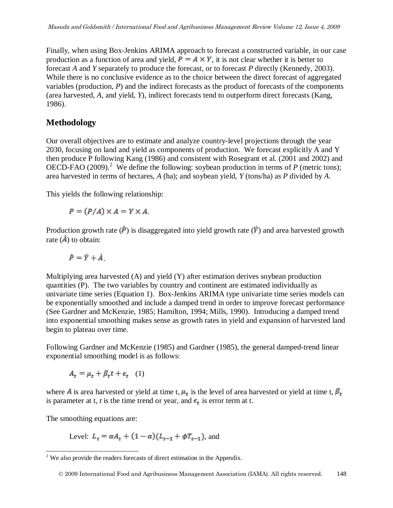Finally, when using Box-Jenkins ARIMA approach to forecast a constructed variable, in our case production as a function of area and yield,  $P = A \times Y$ , it is not clear whether it is better to forecast *A* and *Y* separately to produce the forecast, or to forecast *P* directly (Kennedy, 2003). While there is no conclusive evidence as to the choice between the direct forecast of aggregated variables (production, *P*) and the indirect forecasts as the product of forecasts of the components (area harvested, *A*, and yield, *Y*), indirect forecasts tend to outperform direct forecasts (Kang, 1986).

## **Methodology**

Our overall objectives are to estimate and analyze country-level projections through the year 2030, focusing on land and yield as components of production. We forecast explicitly A and Y then produce P following Kang (1986) and consistent with Rosegrant et al. (2001 and 2002) and OECD-FAO ([2](#page-5-0)009).<sup>2</sup> We define the following: soybean production in terms of  $P$  (metric tons); area harvested in terms of hectares, *A* (ha); and soybean yield, *Y* (tons/ha) as *P* divided by *A*.

This yields the following relationship:

$$
P = (P/A) \times A = Y \times A
$$

Production growth rate  $(\dot{P})$  is disaggregated into yield growth rate  $(\dot{Y})$  and area harvested growth rate  $(\mathbf{\hat{A}})$  to obtain:

$$
\dot{P} = \dot{Y} + \dot{A}
$$

Multiplying area harvested (A) and yield (Y) after estimation derives soybean production quantities (P). The two variables by country and continent are estimated individually as univariate time series (Equation 1). Box-Jenkins ARIMA type univariate time series models can be exponentially smoothed and include a damped trend in order to improve forecast performance (See Gardner and McKenzie, 1985; Hamilton, 1994; Mills, 1990). Introducing a damped trend into exponential smoothing makes sense as growth rates in yield and expansion of harvested land begin to plateau over time.

Following Gardner and McKenzie (1985) and Gardner (1985), the general damped-trend linear exponential smoothing model is as follows:

$$
A_t = \mu_t + \beta_t t + \epsilon_t \quad (1)
$$

where A is area harvested or yield at time t,  $\mu_t$  is the level of area harvested or yield at time t,  $\beta_t$ is parameter at t, *t* is the time trend or year, and  $\epsilon_{\pm}$  is error term at t.

The smoothing equations are:

Level:  $L_t = \alpha A_t + (1 - \alpha)(L_{t-1} + \phi T_{t-1})$ , and

<span id="page-5-0"></span> $2$  We also provide the readers forecasts of direct estimation in the Appendix.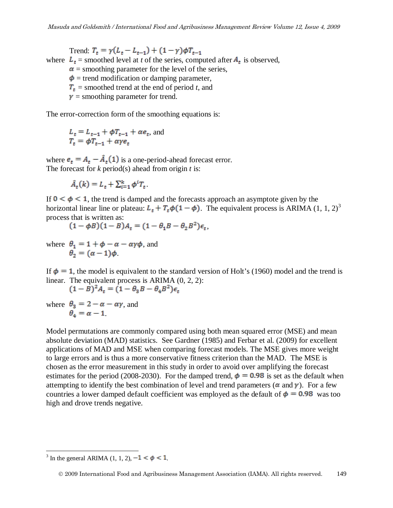Trend:  $T_t = \gamma (L_t - L_{t-1}) + (1 - \gamma) \phi T_{t-1}$ where  $L_t$  = smoothed level at *t* of the series, computed after  $A_t$  is observed,  $\alpha$  = smoothing parameter for the level of the series,  $\phi$  = trend modification or damping parameter,  $T<sub>t</sub>$  = smoothed trend at the end of period *t*, and  $\gamma$  = smoothing parameter for trend.

The error-correction form of the smoothing equations is:

$$
L_t = L_{t-1} + \phi T_{t-1} + \alpha e_t
$$
, and  

$$
T_t = \phi T_{t-1} + \alpha \gamma e_t
$$

where  $\mathbf{e}_t = A_t - \hat{A}_t(1)$  is a one-period-ahead forecast error. The forecast for *k* period(s) ahead from origin *t* is:

 $\hat{A}_{\tau}(k) = L_{\tau} + \sum_{i=1}^{k} \phi^{i} T_{\tau}$ .

If  $0 \lt \phi \lt 1$ , the trend is damped and the forecasts approach an asymptote given by the horizontal linear line or plateau:  $L_{\tau} + T_{\tau} \phi (1 - \phi)$ . The equivalent process is ARIMA (1, 1, 2)<sup>[3](#page-6-0)</sup> process that is written as:

$$
(1 - \phi B)(1 - B)A_t = (1 - \theta_1 B - \theta_2 B^2)\epsilon_t,
$$

where  $\theta_1 = 1 + \phi - \alpha - \alpha \gamma \phi$ , and  $\theta_2 = (\alpha - 1)\phi$ .

If  $\phi = 1$ , the model is equivalent to the standard version of Holt's (1960) model and the trend is linear. The equivalent process is ARIMA (0, 2, 2):

 $(1-B)^2 A_t = (1 - \theta_3 B - \theta_4 B^2) \epsilon_t$ 

where  $\theta_3 = 2 - \alpha - \alpha \gamma$ , and  $\theta_{\alpha} = \alpha - 1$ .

Model permutations are commonly compared using both mean squared error (MSE) and mean absolute deviation (MAD) statistics. See Gardner (1985) and Ferbar et al. (2009) for excellent applications of MAD and MSE when comparing forecast models. The MSE gives more weight to large errors and is thus a more conservative fitness criterion than the MAD. The MSE is chosen as the error measurement in this study in order to avoid over amplifying the forecast estimates for the period (2008-2030). For the damped trend,  $\phi = 0.98$  is set as the default when attempting to identify the best combination of level and trend parameters ( $\alpha$  and  $\gamma$ ). For a few countries a lower damped default coefficient was employed as the default of  $\phi = 0.98$  was too high and drove trends negative.

<span id="page-6-0"></span><sup>&</sup>lt;sup>3</sup> In the general ARIMA (1, 1, 2),  $-1 < \phi < 1$ .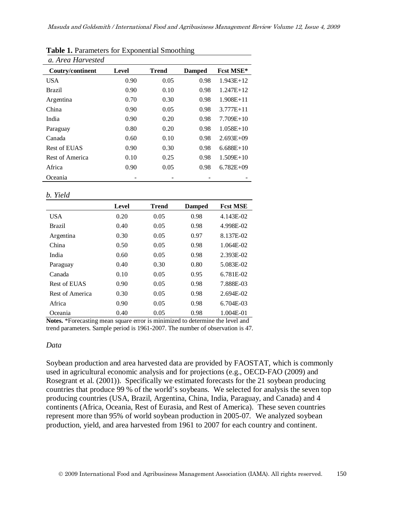| a. Area Harvested |              |              |               |               |
|-------------------|--------------|--------------|---------------|---------------|
| Coutry/continent  | <b>Level</b> | <b>Trend</b> | <b>Damped</b> | Fcst MSE*     |
| <b>USA</b>        | 0.90         | 0.05         | 0.98          | $1.943E+12$   |
| Brazil            | 0.90         | 0.10         | 0.98          | $1.247E+12$   |
| Argentina         | 0.70         | 0.30         | 0.98          | $1.908E + 11$ |
| China             | 0.90         | 0.05         | 0.98          | $3.777E + 11$ |
| India             | 0.90         | 0.20         | 0.98          | $7.709E+10$   |
| Paraguay          | 0.80         | 0.20         | 0.98          | $1.058E+10$   |
| Canada            | 0.60         | 0.10         | 0.98          | $2.693E+09$   |
| Rest of EUAS      | 0.90         | 0.30         | 0.98          | $6.688E+10$   |
| Rest of America   | 0.10         | 0.25         | 0.98          | $1.509E+10$   |
| Africa            | 0.90         | 0.05         | 0.98          | $6.782E+09$   |
| Oceania           |              |              |               |               |

|  | Table 1. Parameters for Exponential Smoothing |  |  |  |
|--|-----------------------------------------------|--|--|--|
|--|-----------------------------------------------|--|--|--|

*b. Yield* 

|                 | <b>Level</b> | <b>Trend</b> | <b>Damped</b> | <b>Fest MSE</b> |
|-----------------|--------------|--------------|---------------|-----------------|
| <b>USA</b>      | 0.20         | 0.05         | 0.98          | 4.143E-02       |
| <b>Brazil</b>   | 0.40         | 0.05         | 0.98          | 4.998E-02       |
| Argentina       | 0.30         | 0.05         | 0.97          | 8.137E-02       |
| China           | 0.50         | 0.05         | 0.98          | 1.064E-02       |
| India           | 0.60         | 0.05         | 0.98          | 2.393E-02       |
| Paraguay        | 0.40         | 0.30         | 0.80          | 5.083E-02       |
| Canada          | 0.10         | 0.05         | 0.95          | 6.781E-02       |
| Rest of EUAS    | 0.90         | 0.05         | 0.98          | 7.888E-03       |
| Rest of America | 0.30         | 0.05         | 0.98          | 2.694E-02       |
| Africa          | 0.90         | 0.05         | 0.98          | 6.704E-03       |
| Oceania         | 0.40         | 0.05         | 0.98          | 1.004E-01       |

**Notes.** \*Forecasting mean square error is minimized to determine the level and trend parameters. Sample period is 1961-2007. The number of observation is 47.

#### *Data*

Soybean production and area harvested data are provided by FAOSTAT, which is commonly used in agricultural economic analysis and for projections (e.g., OECD-FAO (2009) and Rosegrant et al. (2001)). Specifically we estimated forecasts for the 21 soybean producing countries that produce 99 % of the world's soybeans. We selected for analysis the seven top producing countries (USA, Brazil, Argentina, China, India, Paraguay, and Canada) and 4 continents (Africa, Oceania, Rest of Eurasia, and Rest of America). These seven countries represent more than 95% of world soybean production in 2005-07. We analyzed soybean production, yield, and area harvested from 1961 to 2007 for each country and continent.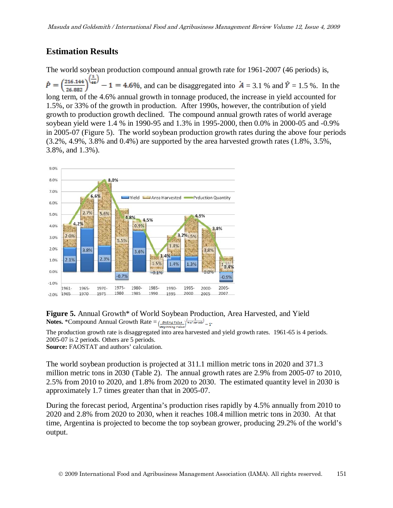### **Estimation Results**

The world soybean production compound annual growth rate for 1961-2007 (46 periods) is,  $\dot{P} = \left(\frac{216.144}{25.882}\right)^{\frac{4}{45}} - 1 = 4.6\%$ , and can be disaggregated into  $A = 3.1$  % and  $\dot{Y} = 1.5$  %. In the long term, of the 4.6% annual growth in tonnage produced, the increase in yield accounted for 1.5%, or 33% of the growth in production. After 1990s, however, the contribution of yield growth to production growth declined. The compound annual growth rates of world average soybean yield were 1.4 % in 1990-95 and 1.3% in 1995-2000, then 0.0% in 2000-05 and -0.9% in 2005-07 (Figure 5). The world soybean production growth rates during the above four periods  $(3.2\%, 4.9\%, 3.8\%$  and  $(0.4\%)$  are supported by the area harvested growth rates  $(1.8\%, 3.5\%$ , 3.8%, and 1.3%).





The production growth rate is disaggregated into area harvested and yield growth rates. 1961-65 is 4 periods. 2005-07 is 2 periods. Others are 5 periods.

**Source:** FAOSTAT and authors' calculation.

The world soybean production is projected at 311.1 million metric tons in 2020 and 371.3 million metric tons in 2030 (Table 2). The annual growth rates are 2.9% from 2005-07 to 2010, 2.5% from 2010 to 2020, and 1.8% from 2020 to 2030. The estimated quantity level in 2030 is approximately 1.7 times greater than that in 2005-07.

During the forecast period, Argentina's production rises rapidly by 4.5% annually from 2010 to 2020 and 2.8% from 2020 to 2030, when it reaches 108.4 million metric tons in 2030. At that time, Argentina is projected to become the top soybean grower, producing 29.2% of the world's output.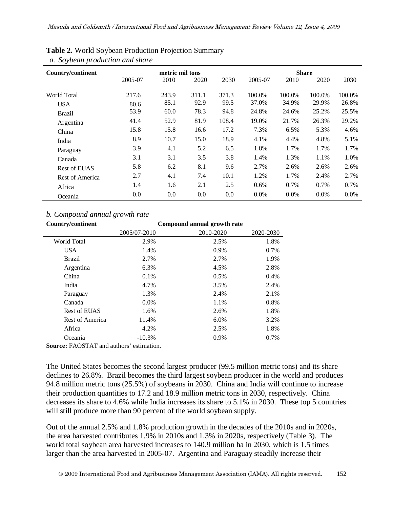| a. Soybean production and share |         |                 |       |       |         |         |              |        |
|---------------------------------|---------|-----------------|-------|-------|---------|---------|--------------|--------|
| Country/continent               |         | metric mil tons |       |       |         |         | <b>Share</b> |        |
|                                 | 2005-07 | 2010            | 2020  | 2030  | 2005-07 | 2010    | 2020         | 2030   |
| World Total                     | 217.6   | 243.9           | 311.1 | 371.3 | 100.0%  | 100.0%  | 100.0%       | 100.0% |
| <b>USA</b>                      | 80.6    | 85.1            | 92.9  | 99.5  | 37.0%   | 34.9%   | 29.9%        | 26.8%  |
| Brazil                          | 53.9    | 60.0            | 78.3  | 94.8  | 24.8%   | 24.6%   | 25.2%        | 25.5%  |
| Argentina                       | 41.4    | 52.9            | 81.9  | 108.4 | 19.0%   | 21.7%   | 26.3%        | 29.2%  |
| China                           | 15.8    | 15.8            | 16.6  | 17.2  | 7.3%    | 6.5%    | 5.3%         | 4.6%   |
| India                           | 8.9     | 10.7            | 15.0  | 18.9  | 4.1%    | 4.4%    | 4.8%         | 5.1%   |
| Paraguay                        | 3.9     | 4.1             | 5.2   | 6.5   | 1.8%    | 1.7%    | 1.7%         | 1.7%   |
| Canada                          | 3.1     | 3.1             | 3.5   | 3.8   | 1.4%    | 1.3%    | 1.1%         | 1.0%   |
| Rest of EUAS                    | 5.8     | 6.2             | 8.1   | 9.6   | 2.7%    | 2.6%    | 2.6%         | 2.6%   |
| Rest of America                 | 2.7     | 4.1             | 7.4   | 10.1  | 1.2%    | 1.7%    | 2.4%         | 2.7%   |
| Africa                          | 1.4     | 1.6             | 2.1   | 2.5   | 0.6%    | 0.7%    | 0.7%         | 0.7%   |
| Oceania                         | 0.0     | 0.0             | 0.0   | 0.0   | 0.0%    | $0.0\%$ | 0.0%         | 0.0%   |

#### **Table 2.** World Soybean Production Projection Summary

#### *b. Compound annual growth rate*

| <b>Country/continent</b> | Compound annual growth rate |           |           |  |  |  |  |
|--------------------------|-----------------------------|-----------|-----------|--|--|--|--|
|                          | 2005/07-2010                | 2010-2020 | 2020-2030 |  |  |  |  |
| World Total              | 2.9%                        | 2.5%      | 1.8%      |  |  |  |  |
| <b>USA</b>               | 1.4%                        | 0.9%      | 0.7%      |  |  |  |  |
| <b>Brazil</b>            | 2.7%                        | 2.7%      | 1.9%      |  |  |  |  |
| Argentina                | 6.3%                        | 4.5%      | 2.8%      |  |  |  |  |
| China                    | 0.1%                        | 0.5%      | 0.4%      |  |  |  |  |
| India                    | 4.7%                        | 3.5%      | 2.4%      |  |  |  |  |
| Paraguay                 | 1.3%                        | 2.4%      | 2.1%      |  |  |  |  |
| Canada                   | $0.0\%$                     | 1.1%      | 0.8%      |  |  |  |  |
| Rest of EUAS             | 1.6%                        | 2.6%      | 1.8%      |  |  |  |  |
| Rest of America          | 11.4%                       | $6.0\%$   | 3.2%      |  |  |  |  |
| Africa                   | 4.2%                        | 2.5%      | 1.8%      |  |  |  |  |
| Oceania                  | $-10.3%$                    | 0.9%      | 0.7%      |  |  |  |  |

**Source:** FAOSTAT and authors' estimation.

The United States becomes the second largest producer (99.5 million metric tons) and its share declines to 26.8%. Brazil becomes the third largest soybean producer in the world and produces 94.8 million metric tons (25.5%) of soybeans in 2030. China and India will continue to increase their production quantities to 17.2 and 18.9 million metric tons in 2030, respectively. China decreases its share to 4.6% while India increases its share to 5.1% in 2030. These top 5 countries will still produce more than 90 percent of the world soybean supply.

Out of the annual 2.5% and 1.8% production growth in the decades of the 2010s and in 2020s, the area harvested contributes 1.9% in 2010s and 1.3% in 2020s, respectively (Table 3). The world total soybean area harvested increases to 140.9 million ha in 2030, which is 1.5 times larger than the area harvested in 2005-07. Argentina and Paraguay steadily increase their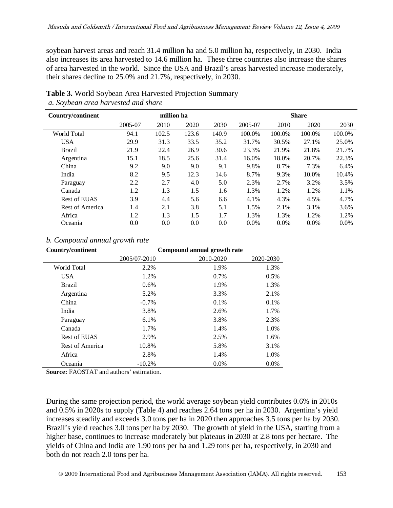soybean harvest areas and reach 31.4 million ha and 5.0 million ha, respectively, in 2030. India also increases its area harvested to 14.6 million ha. These three countries also increase the shares of area harvested in the world. Since the USA and Brazil's areas harvested increase moderately, their shares decline to 25.0% and 21.7%, respectively, in 2030.

| a. so focun arca narvesica ana share |            |       |       |              |         |         |         |        |
|--------------------------------------|------------|-------|-------|--------------|---------|---------|---------|--------|
| <b>Country/continent</b>             | million ha |       |       | <b>Share</b> |         |         |         |        |
|                                      | 2005-07    | 2010  | 2020  | 2030         | 2005-07 | 2010    | 2020    | 2030   |
| World Total                          | 94.1       | 102.5 | 123.6 | 140.9        | 100.0%  | 100.0%  | 100.0%  | 100.0% |
| <b>USA</b>                           | 29.9       | 31.3  | 33.5  | 35.2         | 31.7%   | 30.5%   | 27.1%   | 25.0%  |
| <b>Brazil</b>                        | 21.9       | 22.4  | 26.9  | 30.6         | 23.3%   | 21.9%   | 21.8%   | 21.7%  |
| Argentina                            | 15.1       | 18.5  | 25.6  | 31.4         | 16.0%   | 18.0%   | 20.7%   | 22.3%  |
| China                                | 9.2        | 9.0   | 9.0   | 9.1          | 9.8%    | 8.7%    | 7.3%    | 6.4%   |
| India                                | 8.2        | 9.5   | 12.3  | 14.6         | 8.7%    | 9.3%    | 10.0%   | 10.4%  |
| Paraguay                             | 2.2        | 2.7   | 4.0   | 5.0          | 2.3%    | 2.7%    | 3.2%    | 3.5%   |
| Canada                               | 1.2        | 1.3   | 1.5   | 1.6          | 1.3%    | 1.2%    | 1.2%    | 1.1%   |
| Rest of EUAS                         | 3.9        | 4.4   | 5.6   | 6.6          | 4.1%    | 4.3%    | 4.5%    | 4.7%   |
| <b>Rest of America</b>               | 1.4        | 2.1   | 3.8   | 5.1          | 1.5%    | 2.1%    | 3.1%    | 3.6%   |
| Africa                               | 1.2        | 1.3   | 1.5   | 1.7          | 1.3%    | 1.3%    | 1.2%    | 1.2%   |
| Oceania                              | 0.0        | 0.0   | 0.0   | 0.0          | $0.0\%$ | $0.0\%$ | $0.0\%$ | 0.0%   |

**Table 3.** World Soybean Area Harvested Projection Summary *a. Soybean area harvested and share* 

#### *b. Compound annual growth rate*

| <b>Country/continent</b> | Compound annual growth rate |           |           |  |  |  |
|--------------------------|-----------------------------|-----------|-----------|--|--|--|
|                          | 2005/07-2010                | 2010-2020 | 2020-2030 |  |  |  |
| World Total              | 2.2%                        | 1.9%      | 1.3%      |  |  |  |
| <b>USA</b>               | 1.2%                        | 0.7%      | 0.5%      |  |  |  |
| <b>Brazil</b>            | $0.6\%$                     | 1.9%      | 1.3%      |  |  |  |
| Argentina                | 5.2%                        | 3.3%      | 2.1%      |  |  |  |
| China                    | $-0.7\%$                    | $0.1\%$   | 0.1%      |  |  |  |
| India                    | 3.8%                        | 2.6%      | 1.7%      |  |  |  |
| Paraguay                 | 6.1%                        | 3.8%      | 2.3%      |  |  |  |
| Canada                   | 1.7%                        | 1.4%      | 1.0%      |  |  |  |
| Rest of EUAS             | 2.9%                        | 2.5%      | 1.6%      |  |  |  |
| Rest of America          | 10.8%                       | 5.8%      | 3.1%      |  |  |  |
| Africa                   | 2.8%                        | 1.4%      | 1.0%      |  |  |  |
| Oceania                  | $-10.2%$                    | $0.0\%$   | $0.0\%$   |  |  |  |

**Source:** FAOSTAT and authors' estimation.

During the same projection period, the world average soybean yield contributes 0.6% in 2010s and 0.5% in 2020s to supply (Table 4) and reaches 2.64 tons per ha in 2030. Argentina's yield increases steadily and exceeds 3.0 tons per ha in 2020 then approaches 3.5 tons per ha by 2030. Brazil's yield reaches 3.0 tons per ha by 2030. The growth of yield in the USA, starting from a higher base, continues to increase moderately but plateaus in 2030 at 2.8 tons per hectare. The yields of China and India are 1.90 tons per ha and 1.29 tons per ha, respectively, in 2030 and both do not reach 2.0 tons per ha.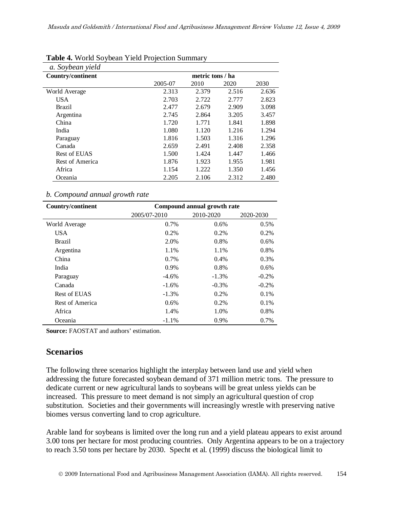| a. Soybean yield  |         |                  |       |       |  |  |  |  |
|-------------------|---------|------------------|-------|-------|--|--|--|--|
| Country/continent |         | metric tons / ha |       |       |  |  |  |  |
|                   | 2005-07 | 2010             | 2020  | 2030  |  |  |  |  |
| World Average     | 2.313   | 2.379            | 2.516 | 2.636 |  |  |  |  |
| <b>USA</b>        | 2.703   | 2.722            | 2.777 | 2.823 |  |  |  |  |
| Brazil            | 2.477   | 2.679            | 2.909 | 3.098 |  |  |  |  |
| Argentina         | 2.745   | 2.864            | 3.205 | 3.457 |  |  |  |  |
| China             | 1.720   | 1.771            | 1.841 | 1.898 |  |  |  |  |
| India             | 1.080   | 1.120            | 1.216 | 1.294 |  |  |  |  |
| Paraguay          | 1.816   | 1.503            | 1.316 | 1.296 |  |  |  |  |
| Canada            | 2.659   | 2.491            | 2.408 | 2.358 |  |  |  |  |
| Rest of EUAS      | 1.500   | 1.424            | 1.447 | 1.466 |  |  |  |  |
| Rest of America   | 1.876   | 1.923            | 1.955 | 1.981 |  |  |  |  |
| Africa            | 1.154   | 1.222            | 1.350 | 1.456 |  |  |  |  |
| Oceania           | 2.205   | 2.106            | 2.312 | 2.480 |  |  |  |  |

#### **Table 4.** World Soybean Yield Projection Summary

#### *b. Compound annual growth rate*

| <b>Country/continent</b> | Compound annual growth rate |           |           |  |  |  |  |
|--------------------------|-----------------------------|-----------|-----------|--|--|--|--|
|                          | 2005/07-2010                | 2010-2020 | 2020-2030 |  |  |  |  |
| World Average            | 0.7%                        | 0.6%      | 0.5%      |  |  |  |  |
| <b>USA</b>               | $0.2\%$                     | 0.2%      | 0.2%      |  |  |  |  |
| <b>Brazil</b>            | 2.0%                        | 0.8%      | 0.6%      |  |  |  |  |
| Argentina                | 1.1%                        | 1.1%      | 0.8%      |  |  |  |  |
| China                    | $0.7\%$                     | 0.4%      | 0.3%      |  |  |  |  |
| India                    | 0.9%                        | 0.8%      | 0.6%      |  |  |  |  |
| Paraguay                 | $-4.6\%$                    | $-1.3\%$  | $-0.2\%$  |  |  |  |  |
| Canada                   | $-1.6%$                     | $-0.3%$   | $-0.2\%$  |  |  |  |  |
| Rest of EUAS             | $-1.3\%$                    | 0.2%      | 0.1%      |  |  |  |  |
| Rest of America          | $0.6\%$                     | 0.2%      | 0.1%      |  |  |  |  |
| Africa                   | 1.4%                        | 1.0%      | 0.8%      |  |  |  |  |
| Oceania                  | $-1.1\%$                    | 0.9%      | 0.7%      |  |  |  |  |

**Source:** FAOSTAT and authors' estimation.

### **Scenarios**

The following three scenarios highlight the interplay between land use and yield when addressing the future forecasted soybean demand of 371 million metric tons. The pressure to dedicate current or new agricultural lands to soybeans will be great unless yields can be increased. This pressure to meet demand is not simply an agricultural question of crop substitution. Societies and their governments will increasingly wrestle with preserving native biomes versus converting land to crop agriculture.

Arable land for soybeans is limited over the long run and a yield plateau appears to exist around 3.00 tons per hectare for most producing countries. Only Argentina appears to be on a trajectory to reach 3.50 tons per hectare by 2030. Specht et al. (1999) discuss the biological limit to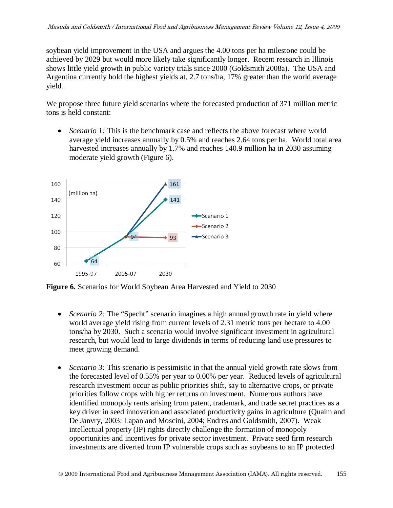soybean yield improvement in the USA and argues the 4.00 tons per ha milestone could be achieved by 2029 but would more likely take significantly longer. Recent research in Illinois shows little yield growth in public variety trials since 2000 (Goldsmith 2008a). The USA and Argentina currently hold the highest yields at, 2.7 tons/ha, 17% greater than the world average yield.

We propose three future yield scenarios where the forecasted production of 371 million metric tons is held constant:

• *Scenario 1:* This is the benchmark case and reflects the above forecast where world average yield increases annually by 0.5% and reaches 2.64 tons per ha. World total area harvested increases annually by 1.7% and reaches 140.9 million ha in 2030 assuming moderate yield growth (Figure 6).



**Figure 6.** Scenarios for World Soybean Area Harvested and Yield to 2030

- *Scenario 2:* The "Specht" scenario imagines a high annual growth rate in yield where world average yield rising from current levels of 2.31 metric tons per hectare to 4.00 tons/ha by 2030. Such a scenario would involve significant investment in agricultural research, but would lead to large dividends in terms of reducing land use pressures to meet growing demand.
- *Scenario 3:* This scenario is pessimistic in that the annual yield growth rate slows from the forecasted level of 0.55% per year to 0.00% per year. Reduced levels of agricultural research investment occur as public priorities shift, say to alternative crops, or private priorities follow crops with higher returns on investment. Numerous authors have identified monopoly rents arising from patent, trademark, and trade secret practices as a key driver in seed innovation and associated productivity gains in agriculture (Quaim and De Janvry, 2003; Lapan and Moscini, 2004; Endres and Goldsmith, 2007). Weak intellectual property (IP) rights directly challenge the formation of monopoly opportunities and incentives for private sector investment. Private seed firm research investments are diverted from IP vulnerable crops such as soybeans to an IP protected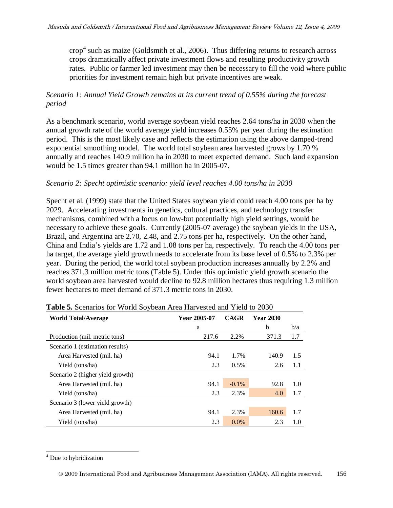crop [4](#page-13-0) such as maize (Goldsmith et al., 2006). Thus differing returns to research across crops dramatically affect private investment flows and resulting productivity growth rates. Public or farmer led investment may then be necessary to fill the void where public priorities for investment remain high but private incentives are weak.

#### *Scenario 1: Annual Yield Growth remains at its current trend of 0.55% during the forecast period*

As a benchmark scenario, world average soybean yield reaches 2.64 tons/ha in 2030 when the annual growth rate of the world average yield increases 0.55% per year during the estimation period. This is the most likely case and reflects the estimation using the above damped-trend exponential smoothing model. The world total soybean area harvested grows by 1.70 % annually and reaches 140.9 million ha in 2030 to meet expected demand. Such land expansion would be 1.5 times greater than 94.1 million ha in 2005-07.

#### *Scenario 2: Specht optimistic scenario: yield level reaches 4.00 tons/ha in 2030*

Specht et al. (1999) state that the United States soybean yield could reach 4.00 tons per ha by 2029. Accelerating investments in genetics, cultural practices, and technology transfer mechanisms, combined with a focus on low-but potentially high yield settings, would be necessary to achieve these goals. Currently (2005-07 average) the soybean yields in the USA, Brazil, and Argentina are 2.70, 2.48, and 2.75 tons per ha, respectively. On the other hand, China and India's yields are 1.72 and 1.08 tons per ha, respectively. To reach the 4.00 tons per ha target, the average yield growth needs to accelerate from its base level of 0.5% to 2.3% per year. During the period, the world total soybean production increases annually by 2.2% and reaches 371.3 million metric tons (Table 5). Under this optimistic yield growth scenario the world soybean area harvested would decline to 92.8 million hectares thus requiring 1.3 million fewer hectares to meet demand of 371.3 metric tons in 2030.

| <b>World Total/Average</b>       | Year 2005-07 | <b>CAGR</b> | <b>Year 2030</b> |     |
|----------------------------------|--------------|-------------|------------------|-----|
|                                  | a            |             | b                | b/a |
| Production (mil. metric tons)    | 217.6        | 2.2%        | 371.3            | 1.7 |
| Scenario 1 (estimation results)  |              |             |                  |     |
| Area Harvested (mil. ha)         | 94.1         | 1.7%        | 140.9            | 1.5 |
| Yield (tons/ha)                  | 2.3          | 0.5%        | 2.6              | 1.1 |
| Scenario 2 (higher yield growth) |              |             |                  |     |
| Area Harvested (mil. ha)         | 94.1         | $-0.1\%$    | 92.8             | 1.0 |
| Yield (tons/ha)                  | 2.3          | 2.3%        | 4.0              | 1.7 |
| Scenario 3 (lower yield growth)  |              |             |                  |     |
| Area Harvested (mil. ha)         | 94.1         | 2.3%        | 160.6            | 1.7 |
| Yield (tons/ha)                  | 2.3          | $0.0\%$     | 2.3              | 1.0 |

**Table 5.** Scenarios for World Soybean Area Harvested and Yield to 2030

<span id="page-13-0"></span><sup>&</sup>lt;sup>4</sup> Due to hybridization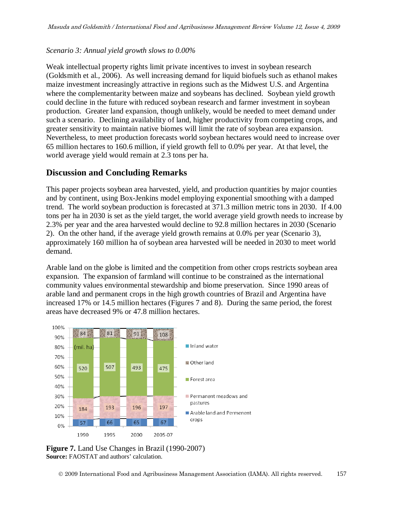#### *Scenario 3: Annual yield growth slows to 0.00%*

Weak intellectual property rights limit private incentives to invest in soybean research (Goldsmith et al., 2006). As well increasing demand for liquid biofuels such as ethanol makes maize investment increasingly attractive in regions such as the Midwest U.S. and Argentina where the complementarity between maize and soybeans has declined. Soybean yield growth could decline in the future with reduced soybean research and farmer investment in soybean production. Greater land expansion, though unlikely, would be needed to meet demand under such a scenario. Declining availability of land, higher productivity from competing crops, and greater sensitivity to maintain native biomes will limit the rate of soybean area expansion. Nevertheless, to meet production forecasts world soybean hectares would need to increase over 65 million hectares to 160.6 million, if yield growth fell to 0.0% per year. At that level, the world average yield would remain at 2.3 tons per ha.

### **Discussion and Concluding Remarks**

This paper projects soybean area harvested, yield, and production quantities by major counties and by continent, using Box-Jenkins model employing exponential smoothing with a damped trend. The world soybean production is forecasted at 371.3 million metric tons in 2030. If 4.00 tons per ha in 2030 is set as the yield target, the world average yield growth needs to increase by 2.3% per year and the area harvested would decline to 92.8 million hectares in 2030 (Scenario 2). On the other hand, if the average yield growth remains at 0.0% per year (Scenario 3), approximately 160 million ha of soybean area harvested will be needed in 2030 to meet world demand.

Arable land on the globe is limited and the competition from other crops restricts soybean area expansion. The expansion of farmland will continue to be constrained as the international community values environmental stewardship and biome preservation. Since 1990 areas of arable land and permanent crops in the high growth countries of Brazil and Argentina have increased 17% or 14.5 million hectares (Figures 7 and 8). During the same period, the forest areas have decreased 9% or 47.8 million hectares.



**Figure 7.** Land Use Changes in Brazil (1990-2007) **Source:** FAOSTAT and authors' calculation.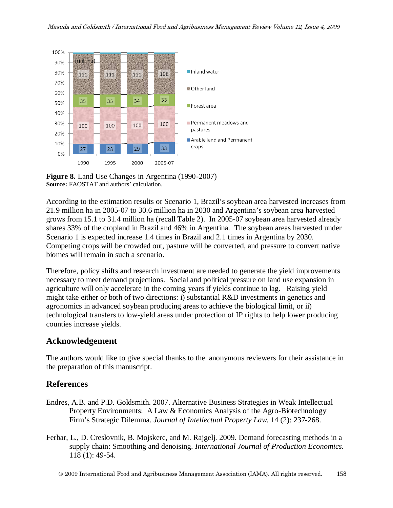

**Figure 8.** Land Use Changes in Argentina (1990-2007) **Source:** FAOSTAT and authors' calculation.

According to the estimation results or Scenario 1, Brazil's soybean area harvested increases from 21.9 million ha in 2005-07 to 30.6 million ha in 2030 and Argentina's soybean area harvested grows from 15.1 to 31.4 million ha (recall Table 2). In 2005-07 soybean area harvested already shares 33% of the cropland in Brazil and 46% in Argentina. The soybean areas harvested under Scenario 1 is expected increase 1.4 times in Brazil and 2.1 times in Argentina by 2030. Competing crops will be crowded out, pasture will be converted, and pressure to convert native biomes will remain in such a scenario.

Therefore, policy shifts and research investment are needed to generate the yield improvements necessary to meet demand projections. Social and political pressure on land use expansion in agriculture will only accelerate in the coming years if yields continue to lag. Raising yield might take either or both of two directions: i) substantial R&D investments in genetics and agronomics in advanced soybean producing areas to achieve the biological limit, or ii) technological transfers to low-yield areas under protection of IP rights to help lower producing counties increase yields.

### **Acknowledgement**

The authors would like to give special thanks to the anonymous reviewers for their assistance in the preparation of this manuscript.

## **References**

- Endres, A.B. and P.D. Goldsmith. 2007. Alternative Business Strategies in Weak Intellectual Property Environments: A Law & Economics Analysis of the Agro-Biotechnology Firm's Strategic Dilemma. *Journal of Intellectual Property Law.* 14 (2): 237-268.
- Ferbar, L., D. Creslovnik, B. Mojskerc, and M. Rajgelj. 2009. Demand forecasting methods in a supply chain: Smoothing and denoising. *International Journal of Production Economics.* 118 (1): 49-54.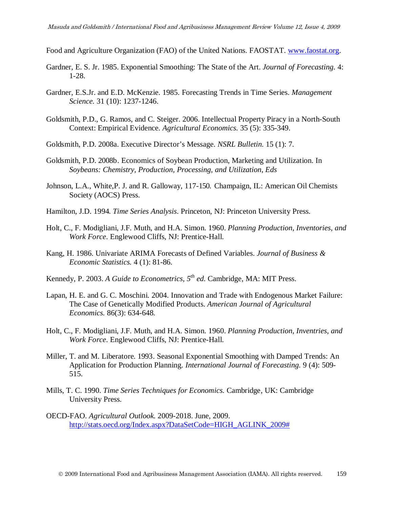- Food and Agriculture Organization (FAO) of the United Nations. FAOSTAT. [www.faostat.org.](http://www.faostat.org/)
- Gardner, E. S. Jr. 1985. Exponential Smoothing: The State of the Art. *Journal of Forecasting.* 4: 1-28.
- Gardner, E.S.Jr. and E.D. McKenzie. 1985. Forecasting Trends in Time Series. *Management Science.* 31 (10): 1237-1246.
- Goldsmith, P.D., G. Ramos, and C. Steiger. 2006. Intellectual Property Piracy in a North-South Context: Empirical Evidence. *Agricultural Economics.* 35 (5): 335-349.
- Goldsmith, P.D. 2008a. Executive Director's Message. *NSRL Bulletin*. 15 (1): 7.
- Goldsmith, P.D. 2008b. Economics of Soybean Production, Marketing and Utilization. In *Soybeans: Chemistry, Production, Processing, and Utilization, Eds*
- Johnson, L.A., White,P. J. and R. Galloway, 117-150. Champaign, IL: American Oil Chemists Society (AOCS) Press.
- Hamilton, J.D. 1994. *Time Series Analysis*. Princeton, NJ: Princeton University Press.
- Holt, C., F. Modigliani, J.F. Muth, and H.A. Simon. 1960. *Planning Production, Inventories, and Work Force*. Englewood Cliffs, NJ: Prentice-Hall.
- Kang, H. 1986. Univariate ARIMA Forecasts of Defined Variables. *Journal of Business & Economic Statistics.* 4 (1): 81-86.
- Kennedy, P. 2003. *A Guide to Econometrics, 5th ed*. Cambridge, MA: MIT Press.
- Lapan, H. E. and G. C. Moschini. 2004. Innovation and Trade with Endogenous Market Failure: The Case of Genetically Modified Products. *American Journal of Agricultural Economics.* 86(3): 634-648.
- Holt, C., F. Modigliani, J.F. Muth, and H.A. Simon. 1960. *Planning Production, Inventries, and Work Force*. Englewood Cliffs, NJ: Prentice-Hall.
- Miller, T. and M. Liberatore. 1993. Seasonal Exponential Smoothing with Damped Trends: An Application for Production Planning. *International Journal of Forecasting.* 9 (4): 509- 515.
- Mills, T. C. 1990. *Time Series Techniques for Economics.* Cambridge, UK: Cambridge University Press.
- OECD-FAO. *Agricultural Outlook.* 2009-2018. June, 2009. [http://stats.oecd.org/Index.aspx?DataSetCode=HIGH\\_AGLINK\\_2009#](http://stats.oecd.org/Index.aspx?DataSetCode=HIGH_AGLINK_2009)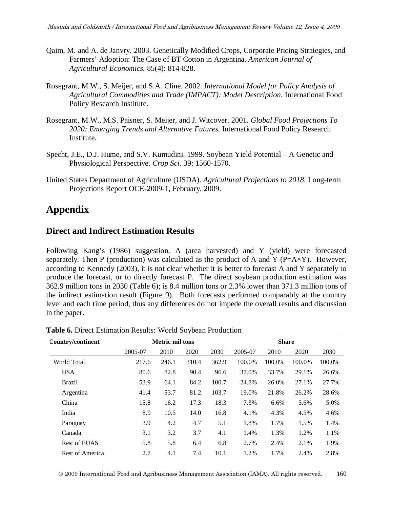- Qaim, M. and A. de Janvry. 2003. Genetically Modified Crops, Corporate Pricing Strategies, and Farmers' Adoption: The Case of BT Cotton in Argentina. *American Journal of Agricultural Economics.* 85(4): 814-828.
- Rosegrant, M.W., S. Meijer, and S.A. Cline. 2002. *International Model for Policy Analysis of Agricultural Commodities and Trade (IMPACT): Model Description.* International Food Policy Research Institute.
- Rosegrant, M.W., M.S. Paisner, S. Meijer, and J. Witcover. 2001. *Global Food Projections To 2020: Emerging Trends and Alternative Futures.* International Food Policy Research Institute.
- Specht, J.E., D.J. Hume, and S.V. Kumudini. 1999. Soybean Yield Potential A Genetic and Physiological Perspective. *Crop Sci.* 39: 1560-1570.
- United States Department of Agriculture (USDA). *Agricultural Projections to 2018.* Long-term Projections Report OCE-2009-1, February, 2009.

# **Appendix**

### **Direct and Indirect Estimation Results**

Following Kang's (1986) suggestion, A (area harvested) and Y (yield) were forecasted separately. Then P (production) was calculated as the product of A and Y ( $P=AXY$ ). However, according to Kennedy (2003), it is not clear whether it is better to forecast A and Y separately to produce the forecast, or to directly forecast P. The direct soybean production estimation was 362.9 million tons in 2030 (Table 6); is 8.4 million tons or 2.3% lower than 371.3 million tons of the indirect estimation result (Figure 9). Both forecasts performed comparably at the country level and each time period, thus any differences do not impede the overall results and discussion in the paper.

| Country/continent | <b>Metric mil tons</b> |       |       |       | <b>Share</b> |        |        |        |
|-------------------|------------------------|-------|-------|-------|--------------|--------|--------|--------|
|                   | 2005-07                | 2010  | 2020  | 2030  | 2005-07      | 2010   | 2020   | 2030   |
| World Total       | 217.6                  | 246.1 | 310.4 | 362.9 | 100.0%       | 100.0% | 100.0% | 100.0% |
| <b>USA</b>        | 80.6                   | 82.8  | 90.4  | 96.6  | 37.0%        | 33.7%  | 29.1%  | 26.6%  |
| <b>Brazil</b>     | 53.9                   | 64.1  | 84.2  | 100.7 | 24.8%        | 26.0%  | 27.1%  | 27.7%  |
| Argentina         | 41.4                   | 53.7  | 81.2  | 103.7 | 19.0%        | 21.8%  | 26.2%  | 28.6%  |
| China             | 15.8                   | 16.2  | 17.3  | 18.3  | 7.3%         | 6.6%   | 5.6%   | 5.0%   |
| India             | 8.9                    | 10.5  | 14.0  | 16.8  | 4.1%         | 4.3%   | 4.5%   | 4.6%   |
| Paraguay          | 3.9                    | 4.2   | 4.7   | 5.1   | 1.8%         | 1.7%   | 1.5%   | 1.4%   |
| Canada            | 3.1                    | 3.2   | 3.7   | 4.1   | 1.4%         | 1.3%   | 1.2%   | 1.1%   |
| Rest of EUAS      | 5.8                    | 5.8   | 6.4   | 6.8   | 2.7%         | 2.4%   | 2.1%   | 1.9%   |
| Rest of America   | 2.7                    | 4.1   | 7.4   | 10.1  | 1.2%         | 1.7%   | 2.4%   | 2.8%   |

**Table 6.** Direct Estimation Results: World Soybean Production